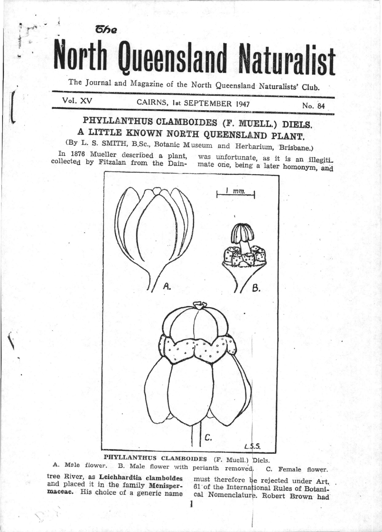The Journal and Magazine of the North Queensland Naturalists' Club.

North Queensland Naturalist

Vol. XV

## CAIRNS, 1st SEPTEMBER 1947

No. 84

## PHYLLANTHUS CLAMBOIDES (F. MUELL.) DIELS. A LITTLE KNOWN NORTH QUEENSLAND PLANT.

(By L. S. SMITH, B.Sc., Botanic Museum and Herbarium, Brisbane.)

In 1876 Mueller described a plant, collected by Fitzalan from the Dain-

**Ghe** 

was unfortunate, as it is an illegiti. mate one, being a later homonym, and



PHYLLANTHUS CLAMBOIDES (F. Muell.) Diels. A. Male flower. B. Male flower with perianth removed. C. Female flower.

tree River, as Leichhardtia clamboides and placed it in the family Menispermaceae. His choice of a generic name

must therefore be rejected under Art. 61 of the International Rules of Botanical Nomenclature. Robert Brown had

1